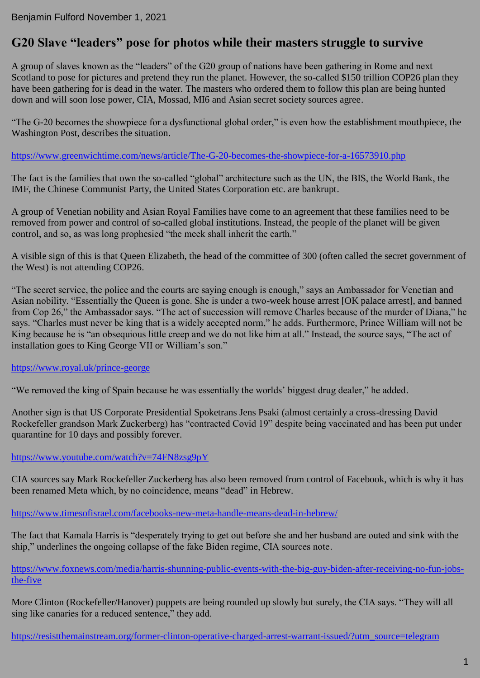## **G20 Slave "leaders" pose for photos while their masters struggle to survive**

A group of slaves known as the "leaders" of the G20 group of nations have been gathering in Rome and next Scotland to pose for pictures and pretend they run the planet. However, the so-called \$150 trillion COP26 plan they have been gathering for is dead in the water. The masters who ordered them to follow this plan are being hunted down and will soon lose power, CIA, Mossad, MI6 and Asian secret society sources agree.

"The G-20 becomes the showpiece for a dysfunctional global order," is even how the establishment mouthpiece, the Washington Post, describes the situation.

<https://www.greenwichtime.com/news/article/The-G-20-becomes-the-showpiece-for-a-16573910.php>

The fact is the families that own the so-called "global" architecture such as the UN, the BIS, the World Bank, the IMF, the Chinese Communist Party, the United States Corporation etc. are bankrupt.

A group of Venetian nobility and Asian Royal Families have come to an agreement that these families need to be removed from power and control of so-called global institutions. Instead, the people of the planet will be given control, and so, as was long prophesied "the meek shall inherit the earth."

A visible sign of this is that Queen Elizabeth, the head of the committee of 300 (often called the secret government of the West) is not attending COP26.

"The secret service, the police and the courts are saying enough is enough," says an Ambassador for Venetian and Asian nobility. "Essentially the Queen is gone. She is under a two-week house arrest [OK palace arrest], and banned from Cop 26," the Ambassador says. "The act of succession will remove Charles because of the murder of Diana," he says. "Charles must never be king that is a widely accepted norm," he adds. Furthermore, Prince William will not be King because he is "an obsequious little creep and we do not like him at all." Instead, the source says, "The act of installation goes to King George VII or William's son."

<https://www.royal.uk/prince-george>

"We removed the king of Spain because he was essentially the worlds' biggest drug dealer," he added.

Another sign is that US Corporate Presidential Spoketrans Jens Psaki (almost certainly a cross-dressing David Rockefeller grandson Mark Zuckerberg) has "contracted Covid 19" despite being vaccinated and has been put under quarantine for 10 days and possibly forever.

<https://www.youtube.com/watch?v=74FN8zsg9pY>

CIA sources say Mark Rockefeller Zuckerberg has also been removed from control of Facebook, which is why it has been renamed Meta which, by no coincidence, means "dead" in Hebrew.

<https://www.timesofisrael.com/facebooks-new-meta-handle-means-dead-in-hebrew/>

The fact that Kamala Harris is "desperately trying to get out before she and her husband are outed and sink with the ship," underlines the ongoing collapse of the fake Biden regime, CIA sources note.

[https://www.foxnews.com/media/harris-shunning-public-events-with-the-big-guy-biden-after-receiving-no-fun-jobs](https://www.foxnews.com/media/harris-shunning-public-events-with-the-big-guy-biden-after-receiving-no-fun-jobs-the-five)[the-five](https://www.foxnews.com/media/harris-shunning-public-events-with-the-big-guy-biden-after-receiving-no-fun-jobs-the-five)

More Clinton (Rockefeller/Hanover) puppets are being rounded up slowly but surely, the CIA says. "They will all sing like canaries for a reduced sentence," they add.

[https://resistthemainstream.org/former-clinton-operative-charged-arrest-warrant-issued/?utm\\_source=telegram](https://resistthemainstream.org/former-clinton-operative-charged-arrest-warrant-issued/?utm_source=telegram)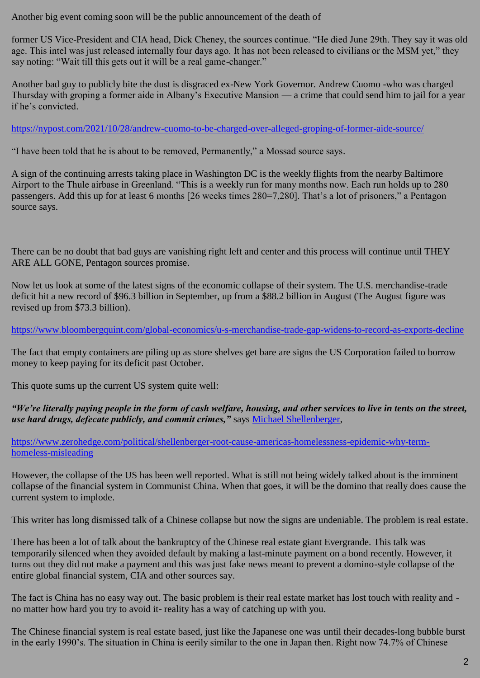Another big event coming soon will be the public announcement of the death of

former US Vice-President and CIA head, Dick Cheney, the sources continue. "He died June 29th. They say it was old age. This intel was just released internally four days ago. It has not been released to civilians or the MSM yet," they say noting: "Wait till this gets out it will be a real game-changer."

Another bad guy to publicly bite the dust is disgraced ex-New York Governor. Andrew Cuomo -who was charged Thursday with groping a former aide in Albany's Executive Mansion — a crime that could send him to jail for a year if he's convicted.

<https://nypost.com/2021/10/28/andrew-cuomo-to-be-charged-over-alleged-groping-of-former-aide-source/>

"I have been told that he is about to be removed, Permanently," a Mossad source says.

A sign of the continuing arrests taking place in Washington DC is the weekly flights from the nearby Baltimore Airport to the Thule airbase in Greenland. "This is a weekly run for many months now. Each run holds up to 280 passengers. Add this up for at least 6 months [26 weeks times 280=7,280]. That's a lot of prisoners," a Pentagon source says.

There can be no doubt that bad guys are vanishing right left and center and this process will continue until THEY ARE ALL GONE, Pentagon sources promise.

Now let us look at some of the latest signs of the economic collapse of their system. The U.S. merchandise-trade deficit hit a new record of \$96.3 billion in September, up from a \$88.2 billion in August (The August figure was revised up from \$73.3 billion).

<https://www.bloombergquint.com/global-economics/u-s-merchandise-trade-gap-widens-to-record-as-exports-decline>

The fact that empty containers are piling up as store shelves get bare are signs the US Corporation failed to borrow money to keep paying for its deficit past October.

This quote sums up the current US system quite well:

*"We're literally paying people in the form of cash welfare, housing, and other services to live in tents on the street, use hard drugs, defecate publicly, and commit crimes,"* says [Michael Shellenberger,](https://www.theepochtimes.com/t-michael-shellenberger)

[https://www.zerohedge.com/political/shellenberger-root-cause-americas-homelessness-epidemic-why-term](https://www.zerohedge.com/political/shellenberger-root-cause-americas-homelessness-epidemic-why-term-homeless-misleading)[homeless-misleading](https://www.zerohedge.com/political/shellenberger-root-cause-americas-homelessness-epidemic-why-term-homeless-misleading)

However, the collapse of the US has been well reported. What is still not being widely talked about is the imminent collapse of the financial system in Communist China. When that goes, it will be the domino that really does cause the current system to implode.

This writer has long dismissed talk of a Chinese collapse but now the signs are undeniable. The problem is real estate.

There has been a lot of talk about the bankruptcy of the Chinese real estate giant Evergrande. This talk was temporarily silenced when they avoided default by making a last-minute payment on a bond recently. However, it turns out they did not make a payment and this was just fake news meant to prevent a domino-style collapse of the entire global financial system, CIA and other sources say.

The fact is China has no easy way out. The basic problem is their real estate market has lost touch with reality and no matter how hard you try to avoid it- reality has a way of catching up with you.

The Chinese financial system is real estate based, just like the Japanese one was until their decades-long bubble burst in the early 1990's. The situation in China is eerily similar to the one in Japan then. Right now 74.7% of Chinese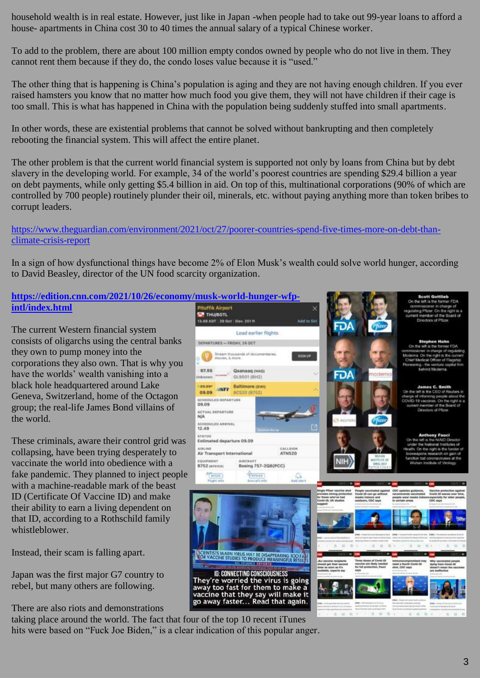household wealth is in real estate. However, just like in Japan -when people had to take out 99-year loans to afford a house- apartments in China cost 30 to 40 times the annual salary of a typical Chinese worker.

To add to the problem, there are about 100 million empty condos owned by people who do not live in them. They cannot rent them because if they do, the condo loses value because it is "used."

The other thing that is happening is China's population is aging and they are not having enough children. If you ever raised hamsters you know that no matter how much food you give them, they will not have children if their cage is too small. This is what has happened in China with the population being suddenly stuffed into small apartments.

In other words, these are existential problems that cannot be solved without bankrupting and then completely rebooting the financial system. This will affect the entire planet.

The other problem is that the current world financial system is supported not only by loans from China but by debt slavery in the developing world. For example, 34 of the world's poorest countries are spending \$29.4 billion a year on debt payments, while only getting \$5.4 billion in aid. On top of this, multinational corporations (90% of which are controlled by 700 people) routinely plunder their oil, minerals, etc. without paying anything more than token bribes to corrupt leaders.

## [https://www.theguardian.com/environment/2021/oct/27/poorer-countries-spend-five-times-more-on-debt-than](https://www.theguardian.com/environment/2021/oct/27/poorer-countries-spend-five-times-more-on-debt-than-climate-crisis-report)[climate-crisis-report](https://www.theguardian.com/environment/2021/oct/27/poorer-countries-spend-five-times-more-on-debt-than-climate-crisis-report)

In a sign of how dysfunctional things have become 2% of Elon Musk's wealth could solve world hunger, according to David Beasley, director of the UN food scarcity organization.

## **[https://edition.cnn.com/2021/10/26/economy/musk-world-hunger-wfp](https://edition.cnn.com/2021/10/26/economy/musk-world-hunger-wfp-intl/index.html)[intl/index.html](https://edition.cnn.com/2021/10/26/economy/musk-world-hunger-wfp-intl/index.html) Pituffik Airport** THU/BOTL 13.49 ADT 29 Oct | Flev. 251 ft The current Western financial system Load earlier flights consists of oligarchs using the central banks DEPARTURES - FRIDAY, 29 OCT they own to pump money into the corporations they also own. That is why you 07.55 Qaanaaq (NAQ) have the worlds' wealth vanishing into a GL9001 (BH2) black hole headquartered around Lake **Baltimore** (awi)  $ATI$ 09.09 Geneva, Switzerland, home of the Octagon 09.09 group; the real-life James Bond villains of ACTUAL DEPARTURE<br>N/A the world. SCHEDULED ARRIVAL 12.49 statu These criminals, aware their control grid was Estimated departure 09.09 collapsing, have been trying desperately to **Air Transport International ATN520** EQUIPMENT<br>B752 (N751CX) vaccinate the world into obedience with a Boeing 757-208(PCC) fake pandemic. They planned to inject people READE *Christop* with a machine-readable mark of the beast ID (Certificate Of Vaccine ID) and make their ability to earn a living dependent on that ID, according to a Rothschild family whistleblower. Instead, their scam is falling apart. **IG: CONNECTING CONSCIOUSNESS** Japan was the first major G7 country to They're worried the virus is going rebel, but many others are following. away too fast for them to make vaccine that they say will make it go away faster... Read that again. There are also riots and demonstrations

taking place around the world. The fact that four of the top 10 recent iTunes hits were based on "Fuck Joe Biden," is a clear indication of this popular anger.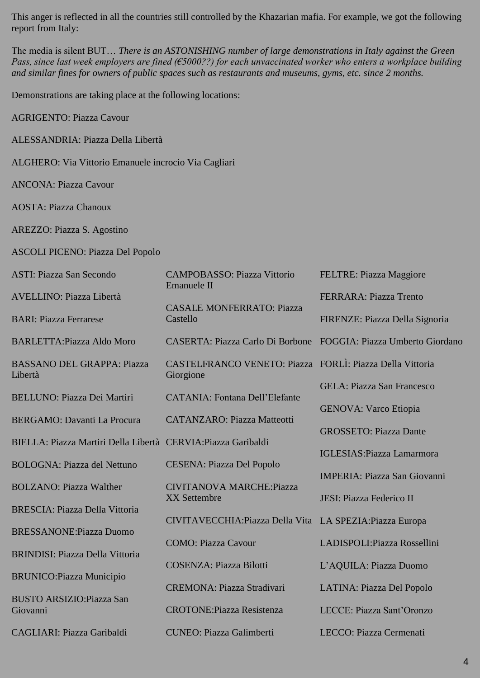This anger is reflected in all the countries still controlled by the Khazarian mafia. For example, we got the following report from Italy:

The media is silent BUT… *There is an ASTONISHING number of large demonstrations in Italy against the Green Pass, since last week employers are fined (€5000??) for each unvaccinated worker who enters a workplace building and similar fines for owners of public spaces such as restaurants and museums, gyms, etc. since 2 months.*

Demonstrations are taking place at the following locations:

AGRIGENTO: Piazza Cavour

- ALESSANDRIA: Piazza Della Libertà
- ALGHERO: Via Vittorio Emanuele incrocio Via Cagliari
- ANCONA: Piazza Cavour
- AOSTA: Piazza Chanoux
- AREZZO: Piazza S. Agostino
- ASCOLI PICENO: Piazza Del Popolo

| <b>ASTI: Piazza San Secondo</b>                               | <b>CAMPOBASSO: Piazza Vittorio</b><br>Emanuele II                     | FELTRE: Piazza Maggiore             |
|---------------------------------------------------------------|-----------------------------------------------------------------------|-------------------------------------|
| AVELLINO: Piazza Libertà                                      |                                                                       | <b>FERRARA: Piazza Trento</b>       |
| <b>BARI: Piazza Ferrarese</b>                                 | <b>CASALE MONFERRATO: Piazza</b><br>Castello                          | FIRENZE: Piazza Della Signoria      |
| <b>BARLETTA:Piazza Aldo Moro</b>                              | CASERTA: Piazza Carlo Di Borbone FOGGIA: Piazza Umberto Giordano      |                                     |
| <b>BASSANO DEL GRAPPA: Piazza</b><br>Libertà                  | CASTELFRANCO VENETO: Piazza FORLÌ: Piazza Della Vittoria<br>Giorgione |                                     |
|                                                               |                                                                       | <b>GELA: Piazza San Francesco</b>   |
| <b>BELLUNO: Piazza Dei Martiri</b>                            | <b>CATANIA: Fontana Dell'Elefante</b>                                 | <b>GENOVA: Varco Etiopia</b>        |
| <b>BERGAMO: Davanti La Procura</b>                            | <b>CATANZARO: Piazza Matteotti</b>                                    |                                     |
| BIELLA: Piazza Martiri Della Libertà CERVIA: Piazza Garibaldi |                                                                       | <b>GROSSETO: Piazza Dante</b>       |
| <b>BOLOGNA: Piazza del Nettuno</b>                            | <b>CESENA: Piazza Del Popolo</b>                                      | IGLESIAS: Piazza Lamarmora          |
| <b>BOLZANO: Piazza Walther</b>                                | <b>CIVITANOVA MARCHE:Piazza</b>                                       | <b>IMPERIA: Piazza San Giovanni</b> |
| <b>BRESCIA: Piazza Della Vittoria</b>                         | <b>XX Settembre</b>                                                   | JESI: Piazza Federico II            |
|                                                               | CIVITAVECCHIA: Piazza Della Vita LA SPEZIA: Piazza Europa             |                                     |
| <b>BRESSANONE:Piazza Duomo</b>                                |                                                                       |                                     |
|                                                               | <b>COMO: Piazza Cavour</b>                                            | LADISPOLI: Piazza Rossellini        |
| <b>BRINDISI: Piazza Della Vittoria</b>                        | <b>COSENZA: Piazza Bilotti</b>                                        | L'AQUILA: Piazza Duomo              |
| <b>BRUNICO:Piazza Municipio</b>                               |                                                                       |                                     |
|                                                               | <b>CREMONA: Piazza Stradivari</b>                                     | LATINA: Piazza Del Popolo           |
| <b>BUSTO ARSIZIO:Piazza San</b><br>Giovanni                   | <b>CROTONE:Piazza Resistenza</b>                                      | LECCE: Piazza Sant'Oronzo           |
| <b>CAGLIARI: Piazza Garibaldi</b>                             | <b>CUNEO: Piazza Galimberti</b>                                       | LECCO: Piazza Cermenati             |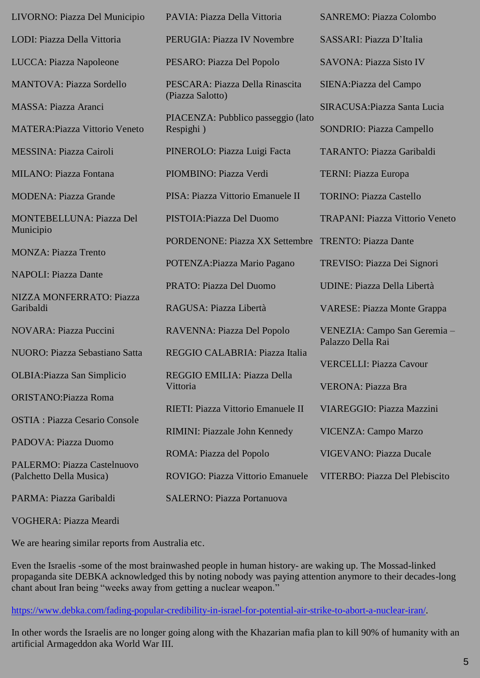LIVORNO: Piazza Del Municipio

LODI: Piazza Della Vittoria

LUCCA: Piazza Napoleone

MANTOVA: Piazza Sordello

MASSA: Piazza Aranci

MATERA:Piazza Vittorio Veneto

MESSINA: Piazza Cairoli

MILANO: Piazza Fontana

MODENA: Piazza Grande

MONTEBELLUNA: Piazza Del Municipio

MONZA: Piazza Trento

NAPOLI: Piazza Dante

NIZZA MONFERRATO: Piazza Garibaldi

NOVARA: Piazza Puccini

NUORO: Piazza Sebastiano Satta

OLBIA:Piazza San Simplicio

ORISTANO:Piazza Roma

OSTIA : Piazza Cesario Console

PADOVA: Piazza Duomo

PALERMO: Piazza Castelnuovo (Palchetto Della Musica)

PARMA: Piazza Garibaldi

VOGHERA: Piazza Meardi

We are hearing similar reports from Australia etc.

Even the Israelis -some of the most brainwashed people in human history- are waking up. The Mossad-linked propaganda site DEBKA acknowledged this by noting nobody was paying attention anymore to their decades-long chant about Iran being "weeks away from getting a nuclear weapon."

[https://www.debka.com/fading-popular-credibility-in-israel-for-potential-air-strike-to-abort-a-nuclear-iran/.](https://www.debka.com/fading-popular-credibility-in-israel-for-potential-air-strike-to-abort-a-nuclear-iran/)

In other words the Israelis are no longer going along with the Khazarian mafia plan to kill 90% of humanity with an artificial Armageddon aka World War III.

PAVIA: Piazza Della Vittoria PERUGIA: Piazza IV Novembre PESARO: Piazza Del Popolo PESCARA: Piazza Della Rinascita (Piazza Salotto)

PIACENZA: Pubblico passeggio (lato Respighi )

PINEROLO: Piazza Luigi Facta

PIOMBINO: Piazza Verdi

PISA: Piazza Vittorio Emanuele II

PISTOIA:Piazza Del Duomo

PORDENONE: Piazza XX Settembre TRENTO: Piazza Dante

POTENZA:Piazza Mario Pagano

PRATO: Piazza Del Duomo

RAGUSA: Piazza Libertà

RAVENNA: Piazza Del Popolo

REGGIO CALABRIA: Piazza Italia

REGGIO EMILIA: Piazza Della Vittoria

RIETI: Piazza Vittorio Emanuele II

RIMINI: Piazzale John Kennedy

ROMA: Piazza del Popolo

ROVIGO: Piazza Vittorio Emanuele

SALERNO: Piazza Portanuova

SANREMO: Piazza Colombo

SASSARI: Piazza D'Italia

SAVONA: Piazza Sisto IV

SIENA:Piazza del Campo

SIRACUSA:Piazza Santa Lucia

SONDRIO: Piazza Campello

TARANTO: Piazza Garibaldi

TERNI: Piazza Europa

TORINO: Piazza Castello

TRAPANI: Piazza Vittorio Veneto

TREVISO: Piazza Dei Signori

UDINE: Piazza Della Libertà

VARESE: Piazza Monte Grappa

VENEZIA: Campo San Geremia – Palazzo Della Rai

VERCELLI: Piazza Cavour

VERONA: Piazza Bra

VIAREGGIO: Piazza Mazzini

VICENZA: Campo Marzo

VIGEVANO: Piazza Ducale

VITERBO: Piazza Del Plebiscito